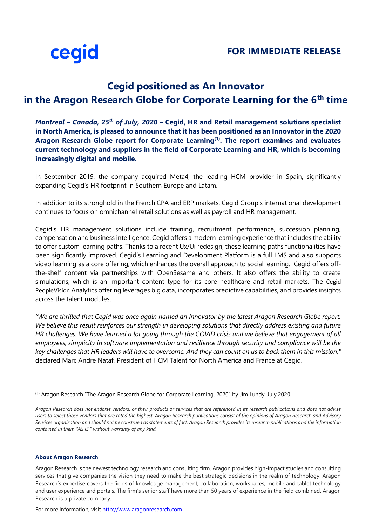

## **Cegid positioned as An Innovator in the Aragon Research Globe for Corporate Learning for the 6th time**

*Montreal – Canada, 25th of July, 2020* **– [Cegid,](https://www.cegid.com/fr/) HR and Retail management solutions specialist in North America, is pleased to announce that it has been positioned as an Innovator in the [2020](https://aragonresearch.com/the-aragon-research-globe-for-corporate-learning-2020/)  [Aragon Research Globe report for Corporate Learning](https://aragonresearch.com/the-aragon-research-globe-for-corporate-learning-2020/)(1). The report examines and evaluates current technology and suppliers in the field of Corporate Learning and HR, which is becoming increasingly digital and mobile.** 

In September 2019, the company acquired Meta4, the leading HCM provider in Spain, significantly expanding Cegid's HR footprint in Southern Europe and Latam.

In addition to its stronghold in the French CPA and ERP markets, Cegid Group's international development continues to focus on omnichannel retail solutions as well as payroll and HR management.

Cegid's HR management solutions include training, recruitment, performance, succession planning, compensation and business intelligence. Cegid offers a modern learning experience that includes the ability to offer custom learning paths. Thanks to a recent Ux/Ui redesign, these learning paths functionalities have been significantly improved. [Cegid's Learning and Development Platform](https://www.cegid.com/en/products/learning-development/) is a full LMS and also supports video learning as a core offering, which enhances the overall approach to social learning. Cegid offers offthe-shelf content via partnerships with OpenSesame and others. It also offers the ability to create simulations, which is an important content type for its core healthcare and retail markets. The [Cegid](https://www.cegid.com/en/products/peoplevision/)  [PeopleVision](https://www.cegid.com/en/products/peoplevision/) Analytics offering leverages big data, incorporates predictive capabilities, and provides insights across the talent modules.

*"We are thrilled that Cegid was once again named an Innovator by the latest Aragon Research Globe report. We believe this result reinforces our strength in developing solutions that directly address existing and future HR challenges. We have learned a lot going through the COVID crisis and we believe that engagement of all employees, simplicity in software implementation and resilience through security and compliance will be the key challenges that HR leaders will have to overcome. And they can count on us to back them in this mission,"* declared Marc Andre Nataf, President of HCM Talent for North America and France at Cegid.

(1) Aragon Research "The Aragon Research Globe for Corporate Learning, 2020" by Jim Lundy, July 2020.

*Aragon Research does not endorse vendors, or their products or services that are referenced in its research publications and does not advise users to select those vendors that are rated the highest. Aragon Research publications consist of the opinions of Aragon Research and Advisory Services organization and should not be construed as statements of fact. Aragon Research provides its research publications and the information contained in them "AS IS," without warranty of any kind.*

## **About Aragon Research**

Aragon Research is the newest technology research and consulting firm. Aragon provides high-impact studies and consulting services that give companies the vision they need to make the best strategic decisions in the realm of technology. Aragon Research's expertise covers the fields of knowledge management, collaboration, workspaces, mobile and tablet technology and user experience and portals. The firm's senior staff have more than 50 years of experience in the field combined. Aragon Research is a private company.

For more information, visit [http://www.aragonresearch.com](http://www.aragonresearch.com/)